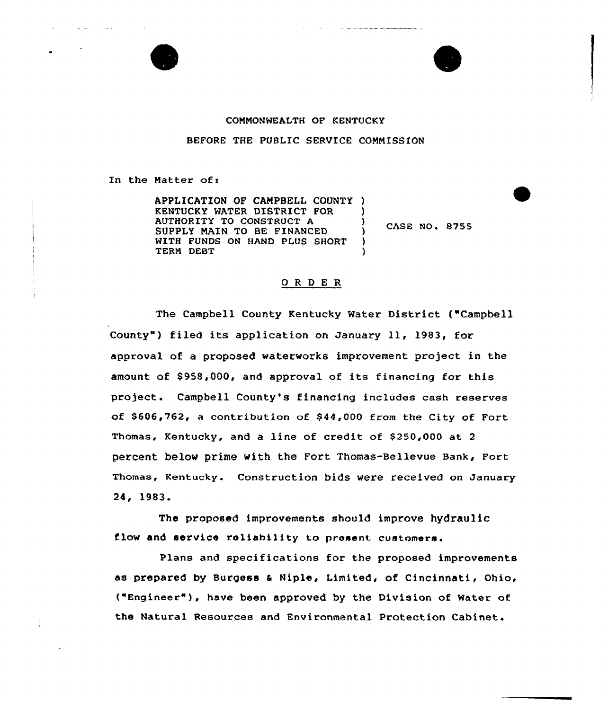

## CONNONWEALTH OF KENTUCKY

BEFORE THE PUBLIC SERVICE CONNISSION

In the Natter of:

APPLICATION OF CANPBELL COUNTY ) KENTUCKY MATER DISTRICT FOR AUTHORITY TO CONSTRUCT A SUPPLY NAIN TO BE FINANCED WITH FUNDS ON HAND PLUS SHORT TERN DEBT

 $\sqrt{}$  CASE NO. 8755

## ORDER

)

) )

The Campbell County Kentucky Water District ("Campbell County") filed its application on January 11, 1983, for approval of a proposed waterworks improvement project in the amount of \$958,000, and approval of its financing for this project. Campbell County's financing includes cash reserves of \$606,762, a contribution of \$ 44,000 from the City of Fort Thomas, Kentucky, and a line of credit of \$ 250,000 at <sup>2</sup> percent belov prime with the Fort Thomas-Bellevue Bank, Fort Thomas, Kentucky. Construction bids vere received on January 24, 19S3.

The proposed improvements should improve hydraulic flow and service reliability to prosant customers.

Plans and specifications for the proposed improvements as prepared by Burgess & Niple, Limited, of Cincinnati, Ohio, {"Engineer"), have been approved by the Division of Water of the Natural Resources and Environmental Protection Cabinet.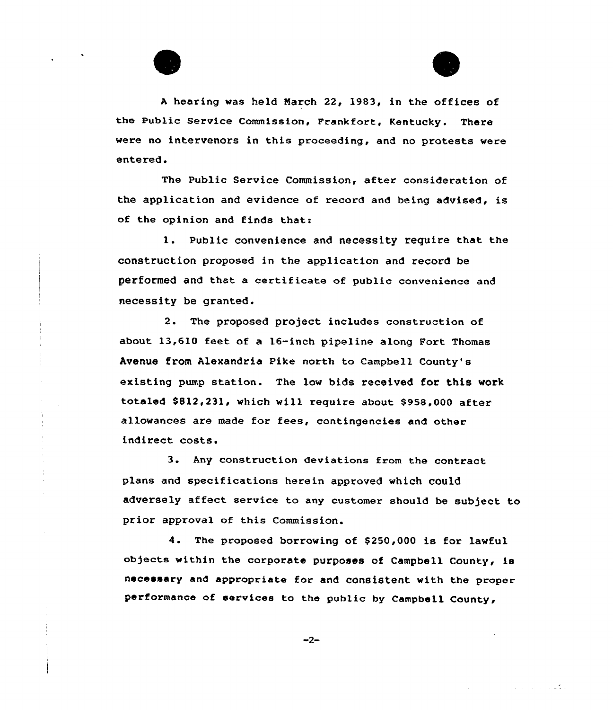



الأسابان والمتابع

<sup>A</sup> hearing was held Narch 22, 1983, in the offices of the Public Service Commission, Frankfort, Kentucky. There were no intervenors in this proceeding, and no protests were entered.

The Public Service Commission, after consideration of the application and evidence of record and being advised, is of the opinion and finds that:

). Public convenience and necessity require that the construction proposed in the application and record be performed and that a certificate of public convenience and necessity be granted.

2. The proposed project includes construction of about 13,610 feet of a 16-inch pipeline along Fort Thomas Avenue from Alexandria Pike north to Campbell County's existing pump station. The low bids received for this work totaled \$ 812,231, which will require about \$958,000 after allowances are made for fees, contingencies and other indirect costs.

3. Any construction deviations from the contract plans and specifications herein approved which could adversely affect service to any customer should be subject to prior approval of this Commission.

4. The proposed borrowing of \$250,000 is for lawful objects within the corporate purposes of Campbell County, is necessary and appropriate for and consistent with the proper performance of services to the public by Campbell County,

 $-2-$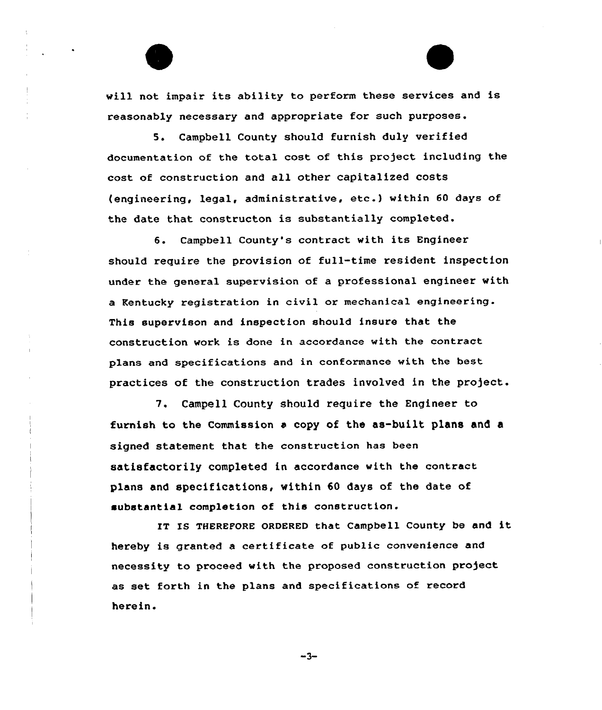will not impair its ability to perform these services and is reasonably necessary and appropriate for such purposes.

S. Campbell County should furnish duly verified documentation of the total cost of this project including the cost of construction and all other capitalized costs (engineering, legal, administrative, etc.} within <sup>60</sup> days of the date that constructon is substantially completed.

6. Campbell County's contract with its Engineer should require the provision of full-time resident inspection under the general supervision of a professional engineer with a Kentucky registration in civil or mechanical engineering. This supervison and inspection should insure that the construction work is done in accordance with the contract plans and specifications and in conformance with the best practices of the construction trades involved in the project.

7. Campell County should require the Engineer to furnish to the Commission a copy of the as-built plans and a signed statement that the construction has been satisfactorily completed in accordance with the contract plans and specifications, within 60 days of the date of substantial completion of this construction.

IT IS THEREFORE ORDERED that Campbell County be and it hereby is granted <sup>a</sup> certificate of public convenience and necessity to proceed with the proposed construction project as set forth in the plans and specifications of record herein.

$$
-3-
$$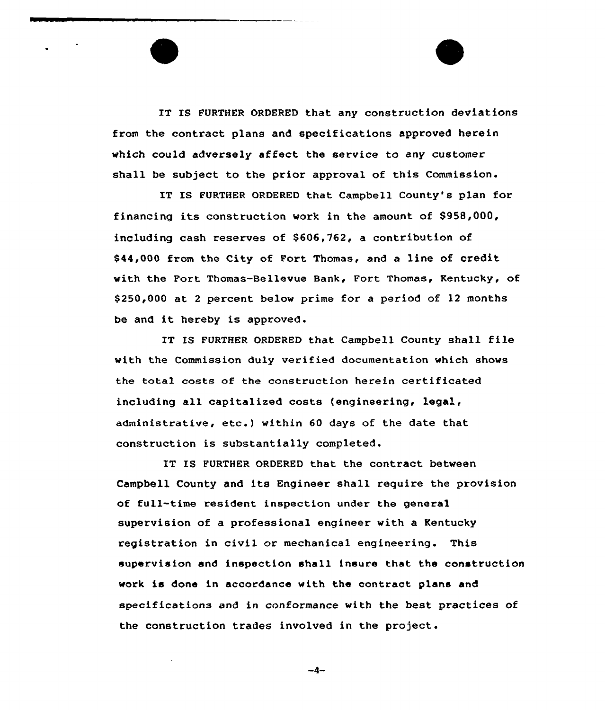IT IS FURTHER ORDERED that any construction deviations from the contract plans and specifications approved herein which could adversely affect the service to any customer shall be subject to the prior approval of this Commission.

IT IS FURTHER ORDERED that Campbell County's plan for financing its construction work in the amount of \$958,000, including cash reserves of \$606,762, a contribution of \$44,000 from the City of Port Thomas, and a line of credit with the Fort Thomas-Bellevue Bank, Fort Thomas, Kentucky, of \$250,000 at <sup>2</sup> percent below prime for a period of 12 months be and it hereby is approved.

IT IS FURTHER ORDERED that Campbell County shall file with the Commission duly verified documentation which shows the total costs of the construction herein certificated including all capitalized costs (engineering, legal, administrative, etc.} within <sup>60</sup> days of the date that construction is substantially completed.

IT IS PURTHER ORDERED that the contract between Campbell County and its Engineer shall require the provision of full-time resident inspection under the general supervision of a professional engineer with a Kentucky registration in civil or mechanical engineering. This supervision and inspection shall insure that the construction work is done in accordance with the contract plans and specifications and in conformance with the best practices of the construction trades involved in the project.

 $-4-$